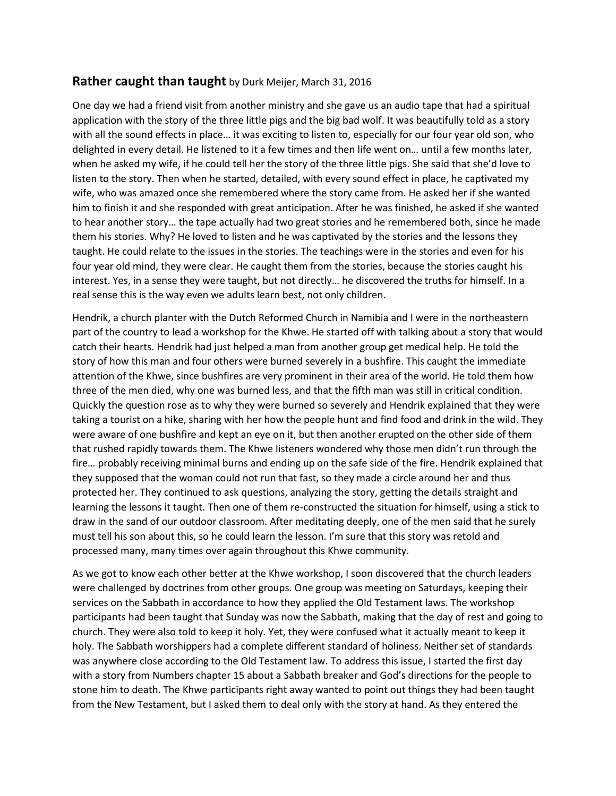## **Rather caught than taught** by Durk Meijer, March 31, 2016

One day we had a friend visit from another ministry and she gave us an audio tape that had a spiritual application with the story of the three little pigs and the big bad wolf. It was beautifully told as a story with all the sound effects in place… it was exciting to listen to, especially for our four year old son, who delighted in every detail. He listened to it a few times and then life went on… until a few months later, when he asked my wife, if he could tell her the story of the three little pigs. She said that she'd love to listen to the story. Then when he started, detailed, with every sound effect in place, he captivated my wife, who was amazed once she remembered where the story came from. He asked her if she wanted him to finish it and she responded with great anticipation. After he was finished, he asked if she wanted to hear another story… the tape actually had two great stories and he remembered both, since he made them his stories. Why? He loved to listen and he was captivated by the stories and the lessons they taught. He could relate to the issues in the stories. The teachings were in the stories and even for his four year old mind, they were clear. He caught them from the stories, because the stories caught his interest. Yes, in a sense they were taught, but not directly… he discovered the truths for himself. In a real sense this is the way even we adults learn best, not only children.

Hendrik, a church planter with the Dutch Reformed Church in Namibia and I were in the northeastern part of the country to lead a workshop for the Khwe. He started off with talking about a story that would catch their hearts. Hendrik had just helped a man from another group get medical help. He told the story of how this man and four others were burned severely in a bushfire. This caught the immediate attention of the Khwe, since bushfires are very prominent in their area of the world. He told them how three of the men died, why one was burned less, and that the fifth man was still in critical condition. Quickly the question rose as to why they were burned so severely and Hendrik explained that they were taking a tourist on a hike, sharing with her how the people hunt and find food and drink in the wild. They were aware of one bushfire and kept an eye on it, but then another erupted on the other side of them that rushed rapidly towards them. The Khwe listeners wondered why those men didn't run through the fire… probably receiving minimal burns and ending up on the safe side of the fire. Hendrik explained that they supposed that the woman could not run that fast, so they made a circle around her and thus protected her. They continued to ask questions, analyzing the story, getting the details straight and learning the lessons it taught. Then one of them re-constructed the situation for himself, using a stick to draw in the sand of our outdoor classroom. After meditating deeply, one of the men said that he surely must tell his son about this, so he could learn the lesson. I'm sure that this story was retold and processed many, many times over again throughout this Khwe community.

As we got to know each other better at the Khwe workshop, I soon discovered that the church leaders were challenged by doctrines from other groups. One group was meeting on Saturdays, keeping their services on the Sabbath in accordance to how they applied the Old Testament laws. The workshop participants had been taught that Sunday was now the Sabbath, making that the day of rest and going to church. They were also told to keep it holy. Yet, they were confused what it actually meant to keep it holy. The Sabbath worshippers had a complete different standard of holiness. Neither set of standards was anywhere close according to the Old Testament law. To address this issue, I started the first day with a story from Numbers chapter 15 about a Sabbath breaker and God's directions for the people to stone him to death. The Khwe participants right away wanted to point out things they had been taught from the New Testament, but I asked them to deal only with the story at hand. As they entered the